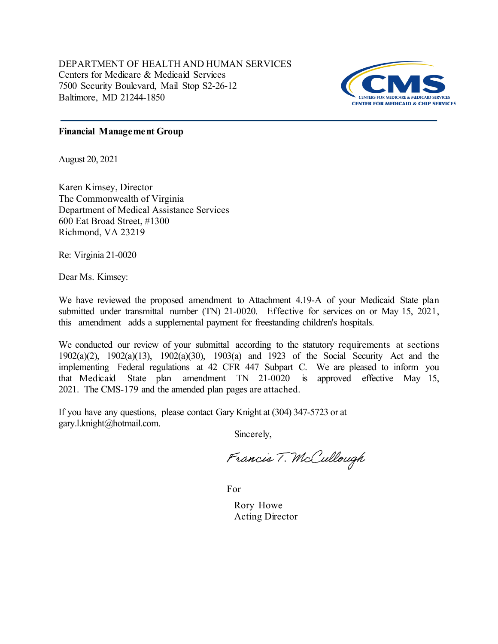DEPARTMENT OF HEALTH AND HUMAN SERVICES Centers for Medicare & Medicaid Services 7500 Security Boulevard, Mail Stop S2-26-12 Baltimore, MD 21244-1850



## **Financial Management Group**

August 20, 2021

Karen Kimsey, Director The Commonwealth of Virginia Department of Medical Assistance Services 600 Eat Broad Street, #1300 Richmond, VA 23219

Re: Virginia 21-0020

Dear Ms. Kimsey:

We have reviewed the proposed amendment to Attachment 4.19-A of your Medicaid State plan submitted under transmittal number (TN) 21-0020. Effective for services on or May 15, 2021, this amendment adds a supplemental payment for freestanding children's hospitals.

We conducted our review of your submittal according to the statutory requirements at sections 1902(a)(2), 1902(a)(13), 1902(a)(30), 1903(a) and 1923 of the Social Security Act and the implementing Federal regulations at 42 CFR 447 Subpart C. We are pleased to inform you that Medicaid State plan amendment TN 21-0020 is approved effective May 15, 2021. The CMS-179 and the amended plan pages are attached.

If you have any questions, please contact Gary Knight at (304) 347-5723 or at gary.l.knight@hotmail.com.

Sincerely,

Francis T. McCullough

For

Rory Howe Acting Director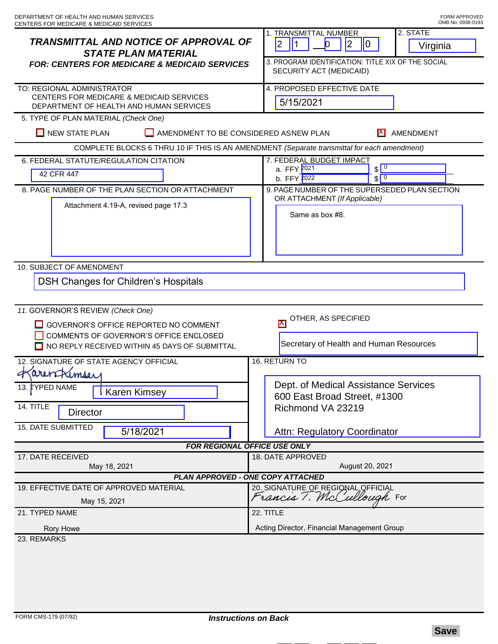| TRANSMITTAL AND NOTICE OF APPROVAL OF<br><b>STATE PLAN MATERIAL</b><br><b>FOR: CENTERS FOR MEDICARE &amp; MEDICAID SERVICES</b>                                       | 2. STATE<br>1. TRANSMITTAL NUMBER<br>$ 2\rangle$<br> 2 <br> 1<br>$\bf{0}$<br>$\overline{0}$<br>Virginia<br>3. PROGRAM IDENTIFICATION: TITLE XIX OF THE SOCIAL<br>SECURITY ACT (MEDICAID) |
|-----------------------------------------------------------------------------------------------------------------------------------------------------------------------|------------------------------------------------------------------------------------------------------------------------------------------------------------------------------------------|
| TO: REGIONAL ADMINISTRATOR<br>CENTERS FOR MEDICARE & MEDICAID SERVICES<br>DEPARTMENT OF HEALTH AND HUMAN SERVICES                                                     | 4. PROPOSED EFFECTIVE DATE<br>5/15/2021                                                                                                                                                  |
| 5. TYPE OF PLAN MATERIAL (Check One)                                                                                                                                  |                                                                                                                                                                                          |
| $\Box$ NEW STATE PLAN<br>H<br>AMENDMENT TO BE CONSIDERED ASNEW PLAN<br>IX I<br>AMENDMENT                                                                              |                                                                                                                                                                                          |
| COMPLETE BLOCKS 6 THRU 10 IF THIS IS AN AMENDMENT (Separate transmittal for each amendment)                                                                           |                                                                                                                                                                                          |
| 6. FEDERAL STATUTE/REGULATION CITATION                                                                                                                                | 7. FEDERAL BUDGET IMPACT<br>$\sqrt{0}$<br>a. FFY 2021                                                                                                                                    |
| 42 CFR 447                                                                                                                                                            | $\sqrt{0}$<br>b. FFY 2022                                                                                                                                                                |
| 8. PAGE NUMBER OF THE PLAN SECTION OR ATTACHMENT<br>Attachment 4.19-A, revised page 17.3                                                                              | 9. PAGE NUMBER OF THE SUPERSEDED PLAN SECTION<br>OR ATTACHMENT (If Applicable)<br>Same as box #8.                                                                                        |
| 10. SUBJECT OF AMENDMENT                                                                                                                                              |                                                                                                                                                                                          |
| <b>DSH Changes for Children's Hospitals</b>                                                                                                                           |                                                                                                                                                                                          |
| 11. GOVERNOR'S REVIEW (Check One)<br>GOVERNOR'S OFFICE REPORTED NO COMMENT<br>COMMENTS OF GOVERNOR'S OFFICE ENCLOSED<br>NO REPLY RECEIVED WITHIN 45 DAYS OF SUBMITTAL | OTHER, AS SPECIFIED<br>$\boxtimes$<br>Secretary of Health and Human Resources                                                                                                            |
| 16. RETURN TO<br>12. SIGNATURE OF STATE AGENCY OFFICIAL                                                                                                               |                                                                                                                                                                                          |
| Karen Kimsey<br>13. TYPED NAME<br>Karen Kimsey<br>14. TITLE                                                                                                           | Dept. of Medical Assistance Services<br>600 East Broad Street, #1300<br>Richmond VA 23219                                                                                                |
| <b>Director</b>                                                                                                                                                       |                                                                                                                                                                                          |
| 15. DATE SUBMITTED<br>5/18/2021                                                                                                                                       | Attn: Regulatory Coordinator                                                                                                                                                             |
| <b>FOR REGIONAL OFFICE USE ONLY</b>                                                                                                                                   |                                                                                                                                                                                          |
| 17. DATE RECEIVED<br>May 18, 2021                                                                                                                                     | 18. DATE APPROVED<br>August 20, 2021                                                                                                                                                     |
| PLAN APPROVED - ONE COPY ATTACHED                                                                                                                                     |                                                                                                                                                                                          |
| 19. EFFECTIVE DATE OF APPROVED MATERIAL<br>May 15, 2021                                                                                                               | 20. SIGNATURE OF REGIONAL OFFICIAL<br>Francis 7. McCullough For                                                                                                                          |
| 21. TYPED NAME                                                                                                                                                        | 22. TITLE                                                                                                                                                                                |
| Rory Howe                                                                                                                                                             | Acting Director, Financial Management Group                                                                                                                                              |
| 23. REMARKS                                                                                                                                                           |                                                                                                                                                                                          |